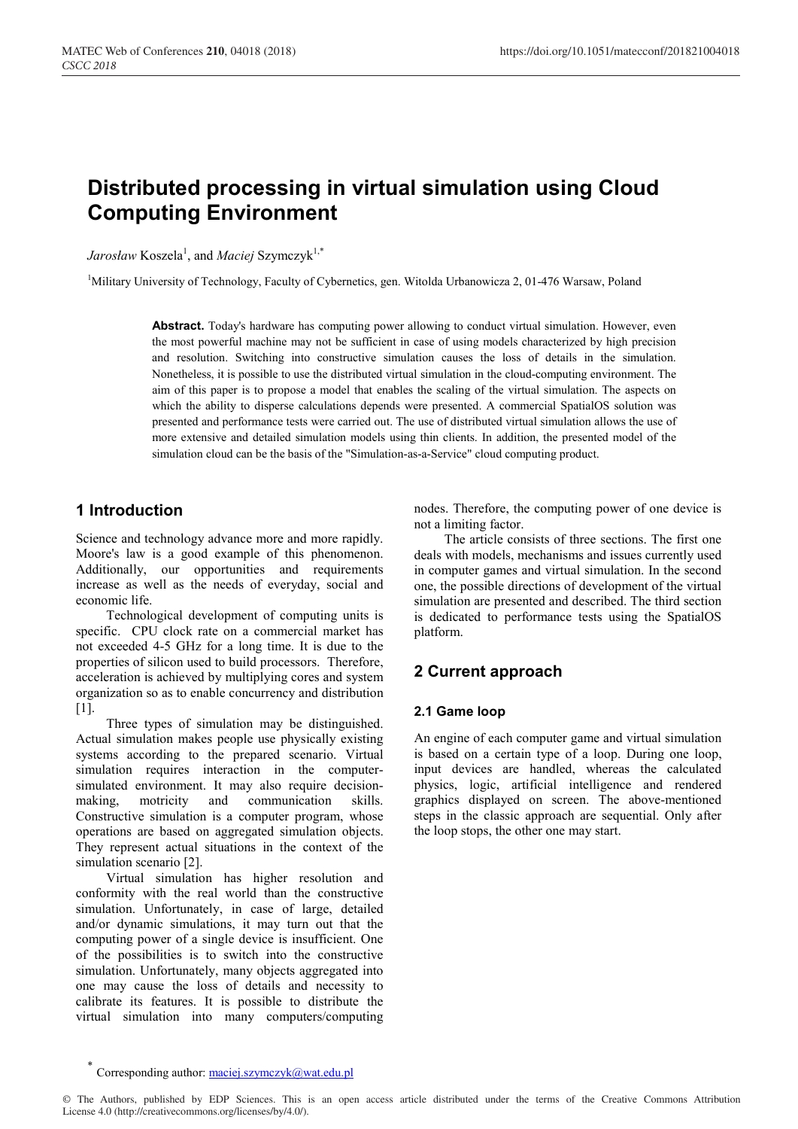# **Distributed processing in virtual simulation using Cloud Computing Environment**

*Jarosław* Koszela<sup>1</sup>, and *Maciej* Szymczyk<sup>1,\*</sup>

<sup>1</sup>Military University of Technology, Faculty of Cybernetics, gen. Witolda Urbanowicza 2, 01-476 Warsaw, Poland

Abstract. Today's hardware has computing power allowing to conduct virtual simulation. However, even the most powerful machine may not be sufficient in case of using models characterized by high precision and resolution. Switching into constructive simulation causes the loss of details in the simulation. Nonetheless, it is possible to use the distributed virtual simulation in the cloud-computing environment. The aim of this paper is to propose a model that enables the scaling of the virtual simulation. The aspects on which the ability to disperse calculations depends were presented. A commercial SpatialOS solution was presented and performance tests were carried out. The use of distributed virtual simulation allows the use of more extensive and detailed simulation models using thin clients. In addition, the presented model of the simulation cloud can be the basis of the "Simulation-as-a-Service" cloud computing product.

## **1 Introduction**

Science and technology advance more and more rapidly. Moore's law is a good example of this phenomenon. Additionally, our opportunities and requirements increase as well as the needs of everyday, social and economic life.

Technological development of computing units is specific. CPU clock rate on a commercial market has not exceeded 4-5 GHz for a long time. It is due to the properties of silicon used to build processors. Therefore, acceleration is achieved by multiplying cores and system organization so as to enable concurrency and distribution [1].

Three types of simulation may be distinguished. Actual simulation makes people use physically existing systems according to the prepared scenario. Virtual simulation requires interaction in the computersimulated environment. It may also require decisionmaking, motricity and communication skills. Constructive simulation is a computer program, whose operations are based on aggregated simulation objects. They represent actual situations in the context of the simulation scenario [2].

Virtual simulation has higher resolution and conformity with the real world than the constructive simulation. Unfortunately, in case of large, detailed and/or dynamic simulations, it may turn out that the computing power of a single device is insufficient. One of the possibilities is to switch into the constructive simulation. Unfortunately, many objects aggregated into one may cause the loss of details and necessity to calibrate its features. It is possible to distribute the virtual simulation into many computers/computing nodes. Therefore, the computing power of one device is not a limiting factor.

The article consists of three sections. The first one deals with models, mechanisms and issues currently used in computer games and virtual simulation. In the second one, the possible directions of development of the virtual simulation are presented and described. The third section is dedicated to performance tests using the SpatialOS platform.

## **2 Current approach**

#### **2.1 Game loop**

An engine of each computer game and virtual simulation is based on a certain type of a loop. During one loop, input devices are handled, whereas the calculated physics, logic, artificial intelligence and rendered graphics displayed on screen. The above-mentioned steps in the classic approach are sequential. Only after the loop stops, the other one may start.

Corresponding author: maciej.szymczyk@wat.edu.pl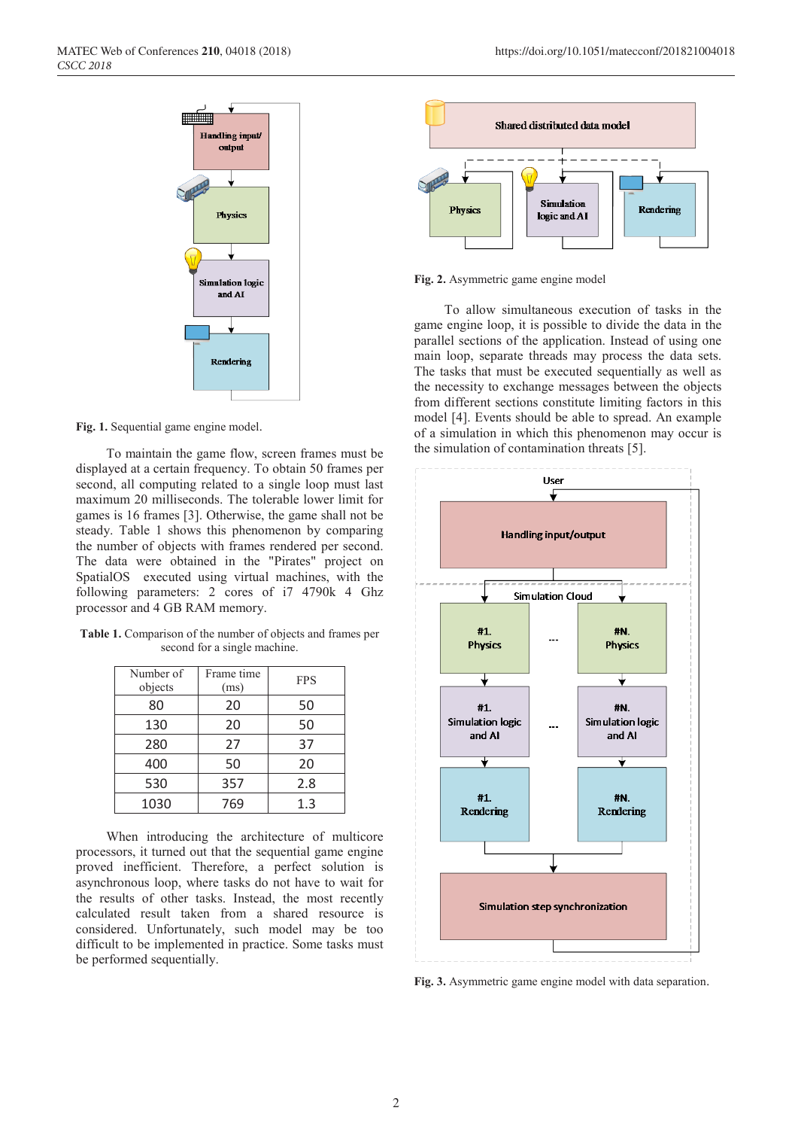

**Fig. 1.** Sequential game engine model.

To maintain the game flow, screen frames must be displayed at a certain frequency. To obtain 50 frames per second, all computing related to a single loop must last maximum 20 milliseconds. The tolerable lower limit for games is 16 frames [3]. Otherwise, the game shall not be steady. Table 1 shows this phenomenon by comparing the number of objects with frames rendered per second. The data were obtained in the "Pirates" project on SpatialOS executed using virtual machines, with the following parameters: 2 cores of i7 4790k 4 Ghz processor and 4 GB RAM memory.

**Table 1.** Comparison of the number of objects and frames per second for a single machine.

| Number of<br>objects | Frame time<br>(ms) | <b>FPS</b> |
|----------------------|--------------------|------------|
| 80                   | 20                 | 50         |
| 130                  | 20                 | 50         |
| 280                  | 27                 | 37         |
| 400                  | 50                 | 20         |
| 530                  | 357                | 2.8        |
| 1030                 | 769                | 1.3        |

When introducing the architecture of multicore processors, it turned out that the sequential game engine proved inefficient. Therefore, a perfect solution is asynchronous loop, where tasks do not have to wait for the results of other tasks. Instead, the most recently calculated result taken from a shared resource is considered. Unfortunately, such model may be too difficult to be implemented in practice. Some tasks must be performed sequentially.



**Fig. 2.** Asymmetric game engine model

To allow simultaneous execution of tasks in the game engine loop, it is possible to divide the data in the parallel sections of the application. Instead of using one main loop, separate threads may process the data sets. The tasks that must be executed sequentially as well as the necessity to exchange messages between the objects from different sections constitute limiting factors in this model [4]. Events should be able to spread. An example of a simulation in which this phenomenon may occur is the simulation of contamination threats [5].



**Fig. 3.** Asymmetric game engine model with data separation.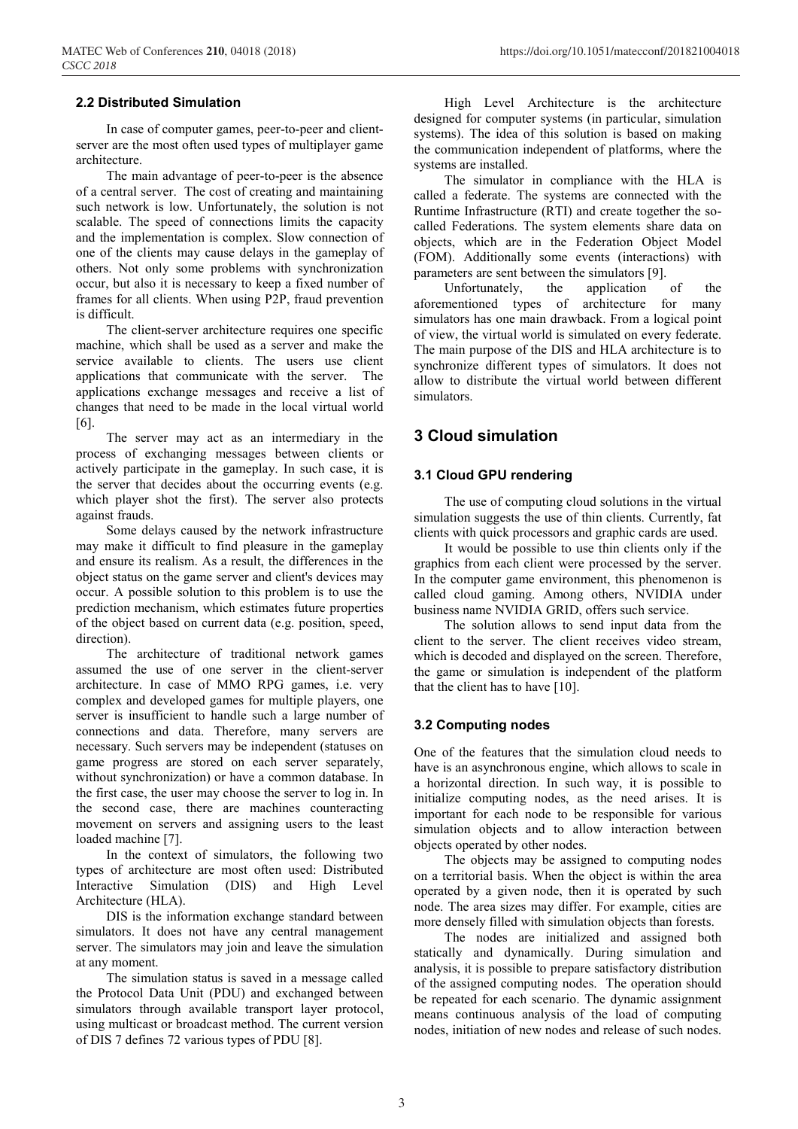#### **2.2 Distributed Simulation**

In case of computer games, peer-to-peer and clientserver are the most often used types of multiplayer game architecture.

The main advantage of peer-to-peer is the absence of a central server. The cost of creating and maintaining such network is low. Unfortunately, the solution is not scalable. The speed of connections limits the capacity and the implementation is complex. Slow connection of one of the clients may cause delays in the gameplay of others. Not only some problems with synchronization occur, but also it is necessary to keep a fixed number of frames for all clients. When using P2P, fraud prevention is difficult.

The client-server architecture requires one specific machine, which shall be used as a server and make the service available to clients. The users use client applications that communicate with the server. The applications exchange messages and receive a list of changes that need to be made in the local virtual world [6].

The server may act as an intermediary in the process of exchanging messages between clients or actively participate in the gameplay. In such case, it is the server that decides about the occurring events (e.g. which player shot the first). The server also protects against frauds.

Some delays caused by the network infrastructure may make it difficult to find pleasure in the gameplay and ensure its realism. As a result, the differences in the object status on the game server and client's devices may occur. A possible solution to this problem is to use the prediction mechanism, which estimates future properties of the object based on current data (e.g. position, speed, direction).

The architecture of traditional network games assumed the use of one server in the client-server architecture. In case of MMO RPG games, i.e. very complex and developed games for multiple players, one server is insufficient to handle such a large number of connections and data. Therefore, many servers are necessary. Such servers may be independent (statuses on game progress are stored on each server separately, without synchronization) or have a common database. In the first case, the user may choose the server to log in. In the second case, there are machines counteracting movement on servers and assigning users to the least loaded machine [7].

In the context of simulators, the following two types of architecture are most often used: Distributed Interactive Simulation (DIS) and High Level Architecture (HLA).

DIS is the information exchange standard between simulators. It does not have any central management server. The simulators may join and leave the simulation at any moment.

The simulation status is saved in a message called the Protocol Data Unit (PDU) and exchanged between simulators through available transport layer protocol, using multicast or broadcast method. The current version of DIS 7 defines 72 various types of PDU [8].

High Level Architecture is the architecture designed for computer systems (in particular, simulation systems). The idea of this solution is based on making the communication independent of platforms, where the systems are installed.

The simulator in compliance with the HLA is called a federate. The systems are connected with the Runtime Infrastructure (RTI) and create together the socalled Federations. The system elements share data on objects, which are in the Federation Object Model (FOM). Additionally some events (interactions) with parameters are sent between the simulators [9].

Unfortunately, the application of the aforementioned types of architecture for many simulators has one main drawback. From a logical point of view, the virtual world is simulated on every federate. The main purpose of the DIS and HLA architecture is to synchronize different types of simulators. It does not allow to distribute the virtual world between different simulators.

## **3 Cloud simulation**

#### **3.1 Cloud GPU rendering**

The use of computing cloud solutions in the virtual simulation suggests the use of thin clients. Currently, fat clients with quick processors and graphic cards are used.

It would be possible to use thin clients only if the graphics from each client were processed by the server. In the computer game environment, this phenomenon is called cloud gaming. Among others, NVIDIA under business name NVIDIA GRID, offers such service.

The solution allows to send input data from the client to the server. The client receives video stream, which is decoded and displayed on the screen. Therefore, the game or simulation is independent of the platform that the client has to have [10].

#### **3.2 Computing nodes**

One of the features that the simulation cloud needs to have is an asynchronous engine, which allows to scale in a horizontal direction. In such way, it is possible to initialize computing nodes, as the need arises. It is important for each node to be responsible for various simulation objects and to allow interaction between objects operated by other nodes.

The objects may be assigned to computing nodes on a territorial basis. When the object is within the area operated by a given node, then it is operated by such node. The area sizes may differ. For example, cities are more densely filled with simulation objects than forests.

The nodes are initialized and assigned both statically and dynamically. During simulation and analysis, it is possible to prepare satisfactory distribution of the assigned computing nodes. The operation should be repeated for each scenario. The dynamic assignment means continuous analysis of the load of computing nodes, initiation of new nodes and release of such nodes.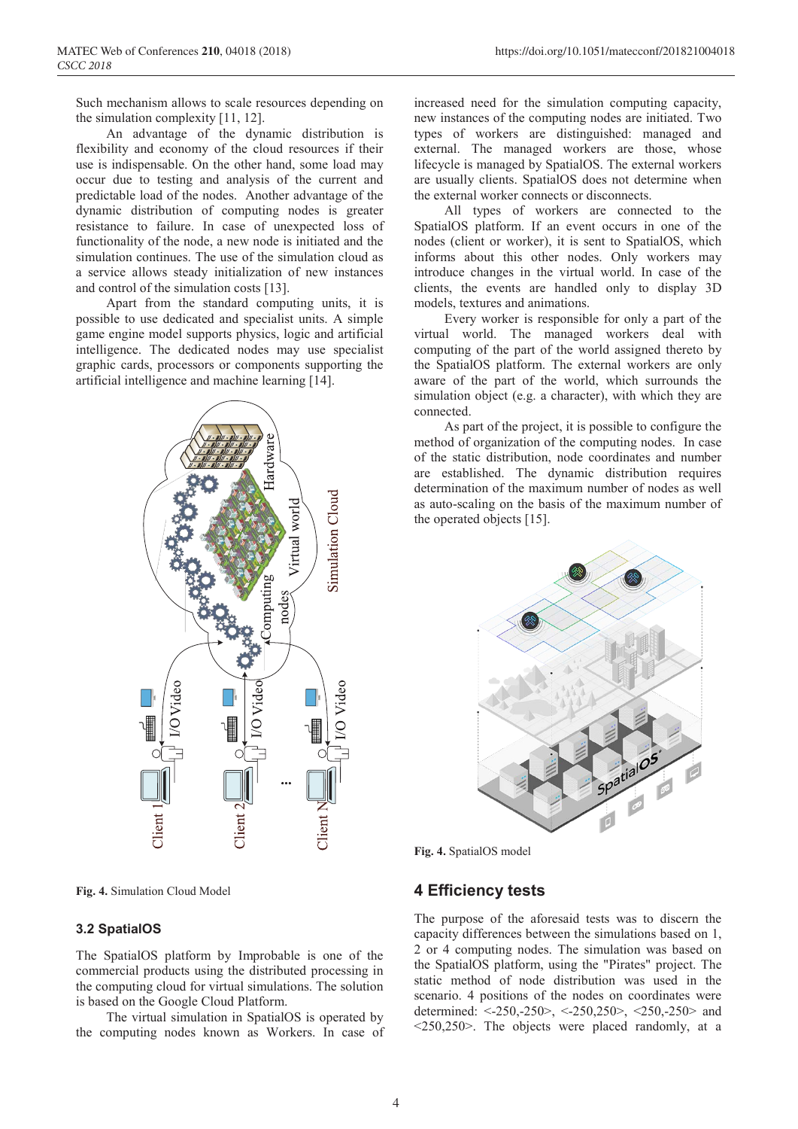Such mechanism allows to scale resources depending on the simulation complexity [11, 12].

An advantage of the dynamic distribution is flexibility and economy of the cloud resources if their use is indispensable. On the other hand, some load may occur due to testing and analysis of the current and predictable load of the nodes. Another advantage of the dynamic distribution of computing nodes is greater resistance to failure. In case of unexpected loss of functionality of the node, a new node is initiated and the simulation continues. The use of the simulation cloud as a service allows steady initialization of new instances and control of the simulation costs [13].

Apart from the standard computing units, it is possible to use dedicated and specialist units. A simple game engine model supports physics, logic and artificial intelligence. The dedicated nodes may use specialist graphic cards, processors or components supporting the artificial intelligence and machine learning [14].



**Fig. 4.** Simulation Cloud Model

#### **3.2 SpatialOS**

The SpatialOS platform by Improbable is one of the commercial products using the distributed processing in the computing cloud for virtual simulations. The solution is based on the Google Cloud Platform.

The virtual simulation in SpatialOS is operated by the computing nodes known as Workers. In case of

increased need for the simulation computing capacity, new instances of the computing nodes are initiated. Two types of workers are distinguished: managed and external. The managed workers are those, whose lifecycle is managed by SpatialOS. The external workers are usually clients. SpatialOS does not determine when the external worker connects or disconnects.

All types of workers are connected to the SpatialOS platform. If an event occurs in one of the nodes (client or worker), it is sent to SpatialOS, which informs about this other nodes. Only workers may introduce changes in the virtual world. In case of the clients, the events are handled only to display 3D models, textures and animations.

Every worker is responsible for only a part of the virtual world. The managed workers deal with computing of the part of the world assigned thereto by the SpatialOS platform. The external workers are only aware of the part of the world, which surrounds the simulation object (e.g. a character), with which they are connected.

As part of the project, it is possible to configure the method of organization of the computing nodes. In case of the static distribution, node coordinates and number are established. The dynamic distribution requires determination of the maximum number of nodes as well as auto-scaling on the basis of the maximum number of the operated objects [15].



**Fig. 4.** SpatialOS model

#### **4 Efficiency tests**

The purpose of the aforesaid tests was to discern the capacity differences between the simulations based on 1, 2 or 4 computing nodes. The simulation was based on the SpatialOS platform, using the "Pirates" project. The static method of node distribution was used in the scenario. 4 positions of the nodes on coordinates were determined: <-250,-250>, <-250,250>, <250,-250> and <250,250>. The objects were placed randomly, at a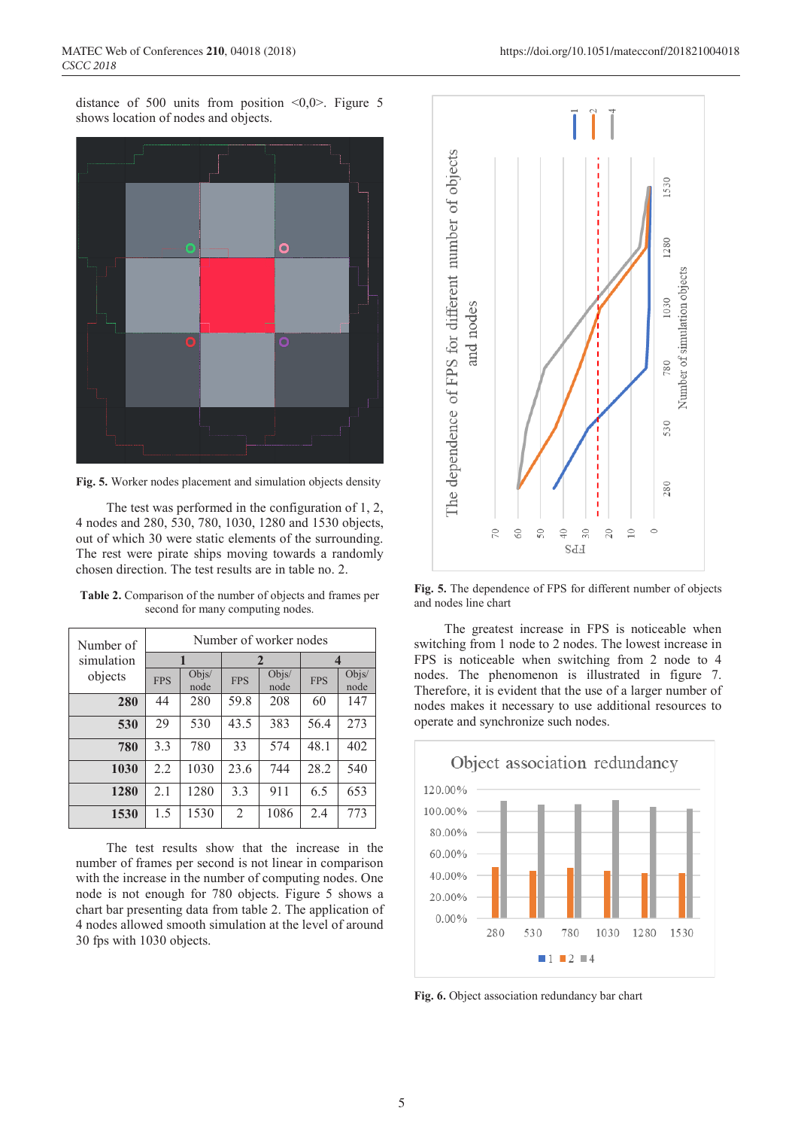distance of 500 units from position  $\langle 0, 0 \rangle$ . Figure 5 shows location of nodes and objects.



**Fig. 5.** Worker nodes placement and simulation objects density

The test was performed in the configuration of 1, 2, 4 nodes and 280, 530, 780, 1030, 1280 and 1530 objects, out of which 30 were static elements of the surrounding. The rest were pirate ships moving towards a randomly chosen direction. The test results are in table no. 2.

| Number of<br>simulation<br>objects | Number of worker nodes |               |                |               |            |               |  |
|------------------------------------|------------------------|---------------|----------------|---------------|------------|---------------|--|
|                                    | 1                      |               | $\mathbf{2}$   |               |            |               |  |
|                                    | <b>FPS</b>             | Objs/<br>node | <b>FPS</b>     | Objs/<br>node | <b>FPS</b> | Objs/<br>node |  |
| 280                                | 44                     | 280           | 59.8           | 208           | 60         | 147           |  |
| 530                                | 29                     | 530           | 43.5           | 383           | 56.4       | 273           |  |
| 780                                | 3.3                    | 780           | 33             | 574           | 48.1       | 402           |  |
| 1030                               | 2.2                    | 1030          | 23.6           | 744           | 28.2       | 540           |  |
| 1280                               | 2.1                    | 1280          | 3.3            | 911           | 6.5        | 653           |  |
| 1530                               | 1.5                    | 1530          | $\mathfrak{D}$ | 1086          | 2.4        | 773           |  |

**Table 2.** Comparison of the number of objects and frames per second for many computing nodes.

The test results show that the increase in the number of frames per second is not linear in comparison with the increase in the number of computing nodes. One node is not enough for 780 objects. Figure 5 shows a chart bar presenting data from table 2. The application of 4 nodes allowed smooth simulation at the level of around 30 fps with 1030 objects.



**Fig. 5.** The dependence of FPS for different number of objects and nodes line chart

The greatest increase in FPS is noticeable when switching from 1 node to 2 nodes. The lowest increase in FPS is noticeable when switching from 2 node to 4 nodes. The phenomenon is illustrated in figure 7. Therefore, it is evident that the use of a larger number of nodes makes it necessary to use additional resources to operate and synchronize such nodes.



**Fig. 6.** Object association redundancy bar chart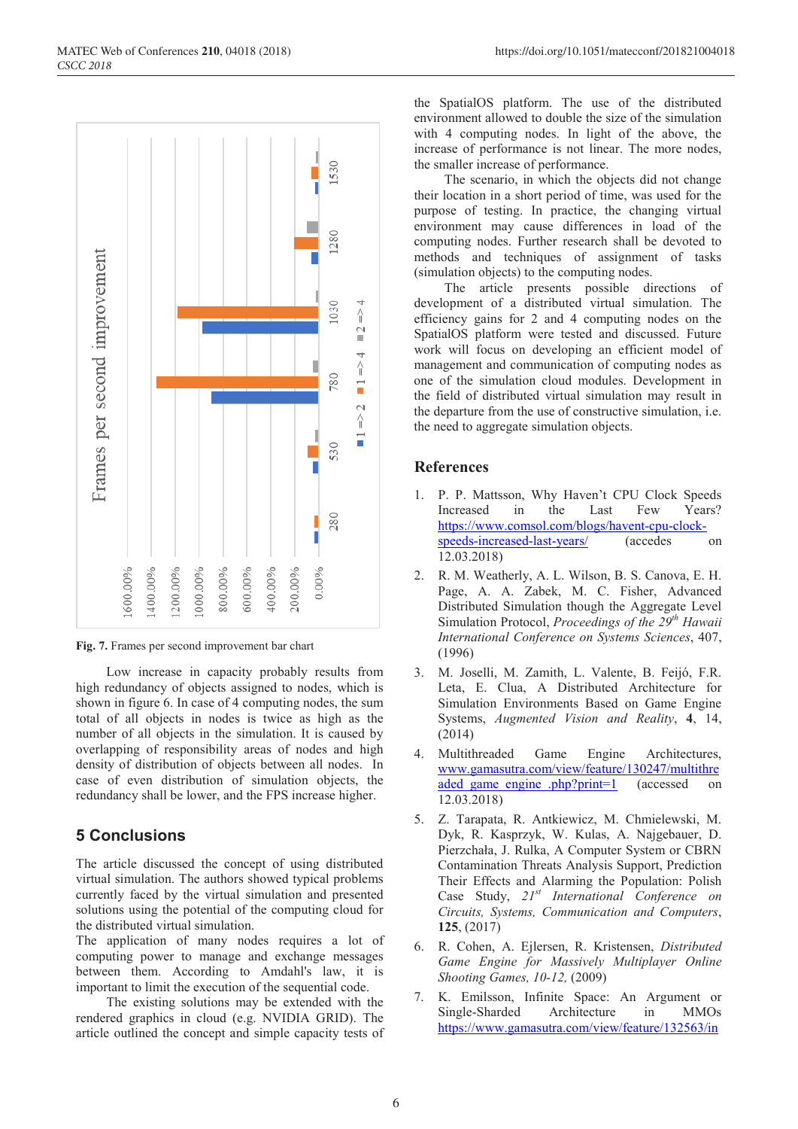

**Fig. 7.** Frames per second improvement bar chart

Low increase in capacity probably results from high redundancy of objects assigned to nodes, which is shown in figure 6. In case of 4 computing nodes, the sum total of all objects in nodes is twice as high as the number of all objects in the simulation. It is caused by overlapping of responsibility areas of nodes and high density of distribution of objects between all nodes. In case of even distribution of simulation objects, the redundancy shall be lower, and the FPS increase higher.

### **5 Conclusions**

The article discussed the concept of using distributed virtual simulation. The authors showed typical problems currently faced by the virtual simulation and presented solutions using the potential of the computing cloud for the distributed virtual simulation.

The application of many nodes requires a lot of computing power to manage and exchange messages between them. According to Amdahl's law, it is important to limit the execution of the sequential code.

The existing solutions may be extended with the rendered graphics in cloud (e.g. NVIDIA GRID). The article outlined the concept and simple capacity tests of

the SpatialOS platform. The use of the distributed environment allowed to double the size of the simulation with 4 computing nodes. In light of the above, the increase of performance is not linear. The more nodes, the smaller increase of performance.

The scenario, in which the objects did not change their location in a short period of time, was used for the purpose of testing. In practice, the changing virtual environment may cause differences in load of the computing nodes. Further research shall be devoted to methods and techniques of assignment of tasks (simulation objects) to the computing nodes.

The article presents possible directions of development of a distributed virtual simulation. The efficiency gains for 2 and 4 computing nodes on the SpatialOS platform were tested and discussed. Future work will focus on developing an efficient model of management and communication of computing nodes as one of the simulation cloud modules. Development in the field of distributed virtual simulation may result in the departure from the use of constructive simulation, i.e. the need to aggregate simulation objects.

#### **References**

- 1. P. P. Mattsson, Why Haven't CPU Clock Speeds Increased in the Last Few Years? https://www.comsol.com/blogs/havent-cpu-clockspeeds-increased-last-years/ (accedes on 12.03.2018)
- 2. R. M. Weatherly, A. L. Wilson, B. S. Canova, E. H. Page, A. A. Zabek, M. C. Fisher, Advanced Distributed Simulation though the Aggregate Level Simulation Protocol, *Proceedings of the 29th Hawaii International Conference on Systems Sciences*, 407, (1996)
- 3. M. Joselli, M. Zamith, L. Valente, B. Feijó, F.R. Leta, E. Clua, A Distributed Architecture for Simulation Environments Based on Game Engine Systems, *Augmented Vision and Reality*, **4**, 14, (2014)
- 4. Multithreaded Game Engine Architectures, www.gamasutra.com/view/feature/130247/multithre<br>aded game engine .php?print=1 (accessed on aded game engine .php?print=1 (accessed on 12.03.2018)
- 5. Z. Tarapata, R. Antkiewicz, M. Chmielewski, M. Dyk, R. Kasprzyk, W. Kulas, A. Najgebauer, D. Pierzchała, J. Rulka, A Computer System or CBRN Contamination Threats Analysis Support, Prediction Their Effects and Alarming the Population: Polish Case Study, *21st International Conference on Circuits, Systems, Communication and Computers*, **125**, (2017)
- 6. R. Cohen, A. Ejlersen, R. Kristensen, *Distributed Game Engine for Massively Multiplayer Online Shooting Games, 10-12,* (2009)
- 7. K. Emilsson, Infinite Space: An Argument or Single-Sharded Architecture in MMOs https://www.gamasutra.com/view/feature/132563/in